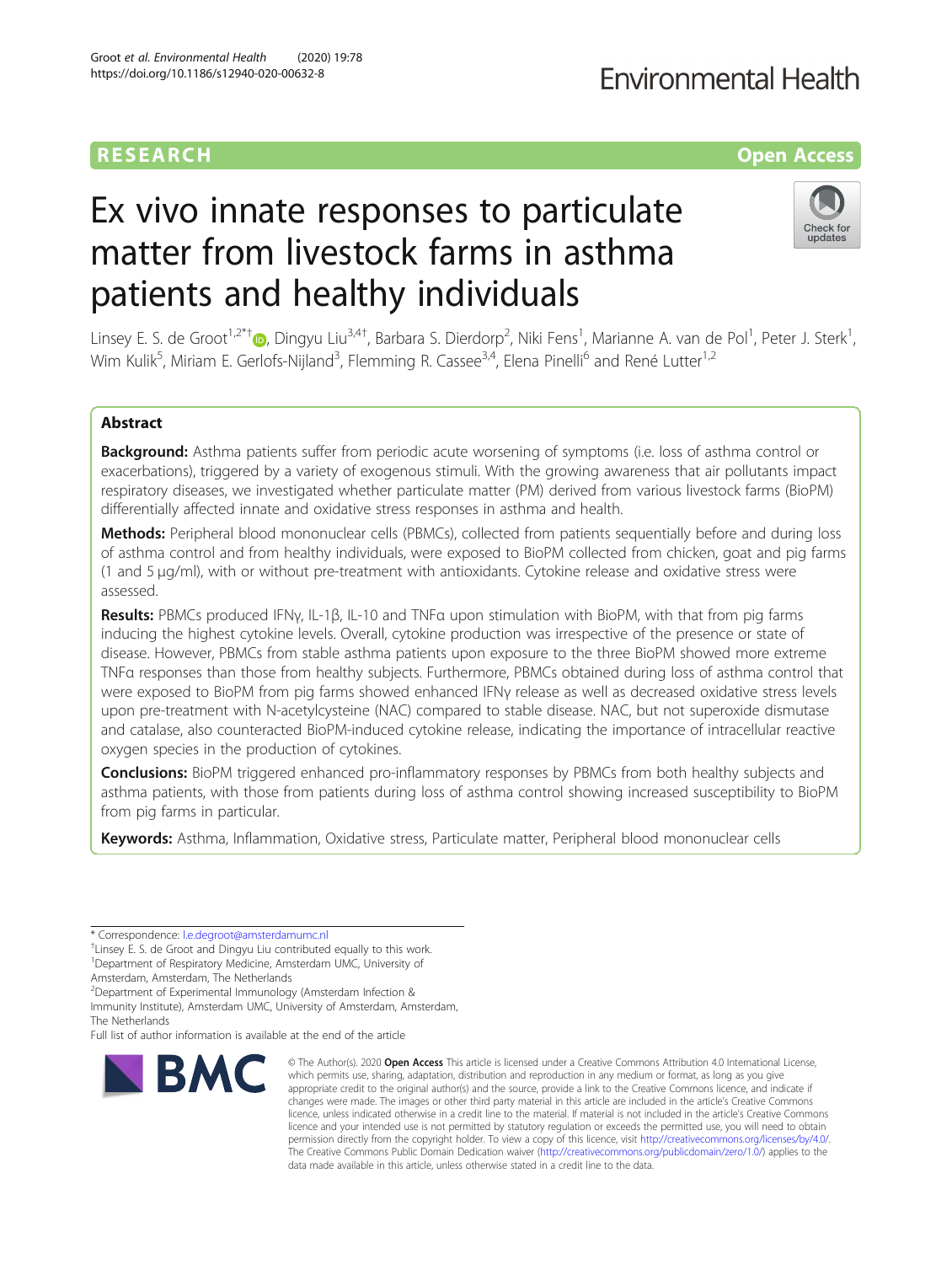# Ex vivo innate responses to particulate matter from livestock farms in asthma patients and healthy individuals

Linsey E. S. de Groot<sup>1[,](http://orcid.org/0000-0002-2928-3759)2\*†</sup>®, Dingyu Liu<sup>3,4†</sup>, Barbara S. Dierdorp<sup>2</sup>, Niki Fens<sup>1</sup>, Marianne A. van de Pol<sup>1</sup>, Peter J. Sterk<sup>1</sup> , Wim Kulik<sup>5</sup>, Miriam E. Gerlofs-Nijland<sup>3</sup>, Flemming R. Cassee<sup>3,4</sup>, Elena Pinelli<sup>6</sup> and René Lutter<sup>1,2</sup>

## Abstract

Background: Asthma patients suffer from periodic acute worsening of symptoms (i.e. loss of asthma control or exacerbations), triggered by a variety of exogenous stimuli. With the growing awareness that air pollutants impact respiratory diseases, we investigated whether particulate matter (PM) derived from various livestock farms (BioPM) differentially affected innate and oxidative stress responses in asthma and health.

Methods: Peripheral blood mononuclear cells (PBMCs), collected from patients sequentially before and during loss of asthma control and from healthy individuals, were exposed to BioPM collected from chicken, goat and pig farms (1 and 5 μg/ml), with or without pre-treatment with antioxidants. Cytokine release and oxidative stress were assessed.

Results: PBMCs produced IFNγ, IL-1β, IL-10 and TNFα upon stimulation with BioPM, with that from pig farms inducing the highest cytokine levels. Overall, cytokine production was irrespective of the presence or state of disease. However, PBMCs from stable asthma patients upon exposure to the three BioPM showed more extreme TNFα responses than those from healthy subjects. Furthermore, PBMCs obtained during loss of asthma control that were exposed to BioPM from pig farms showed enhanced IFNγ release as well as decreased oxidative stress levels upon pre-treatment with N-acetylcysteine (NAC) compared to stable disease. NAC, but not superoxide dismutase and catalase, also counteracted BioPM-induced cytokine release, indicating the importance of intracellular reactive oxygen species in the production of cytokines.

**Conclusions:** BioPM triggered enhanced pro-inflammatory responses by PBMCs from both healthy subjects and asthma patients, with those from patients during loss of asthma control showing increased susceptibility to BioPM from pig farms in particular.

Keywords: Asthma, Inflammation, Oxidative stress, Particulate matter, Peripheral blood mononuclear cells

\* Correspondence: [l.e.degroot@amsterdamumc.nl](mailto:l.e.degroot@amsterdamumc.nl) †

<sup>+</sup>Linsey E. S. de Groot and Dingyu Liu contributed equally to this work. 1 Department of Respiratory Medicine, Amsterdam UMC, University of

Amsterdam, Amsterdam, The Netherlands

**BMC** 

<sup>2</sup>Department of Experimental Immunology (Amsterdam Infection &

Immunity Institute), Amsterdam UMC, University of Amsterdam, Amsterdam, The Netherlands

Full list of author information is available at the end of the article

## Groot et al. Environmental Health (2020) 19:78 https://doi.org/10.1186/s12940-020-00632-8

© The Author(s), 2020 **Open Access** This article is licensed under a Creative Commons Attribution 4.0 International License, which permits use, sharing, adaptation, distribution and reproduction in any medium or format, as long as you give appropriate credit to the original author(s) and the source, provide a link to the Creative Commons licence, and indicate if changes were made. The images or other third party material in this article are included in the article's Creative Commons licence, unless indicated otherwise in a credit line to the material. If material is not included in the article's Creative Commons licence and your intended use is not permitted by statutory regulation or exceeds the permitted use, you will need to obtain permission directly from the copyright holder. To view a copy of this licence, visit [http://creativecommons.org/licenses/by/4.0/.](http://creativecommons.org/licenses/by/4.0/) The Creative Commons Public Domain Dedication waiver [\(http://creativecommons.org/publicdomain/zero/1.0/](http://creativecommons.org/publicdomain/zero/1.0/)) applies to the data made available in this article, unless otherwise stated in a credit line to the data.



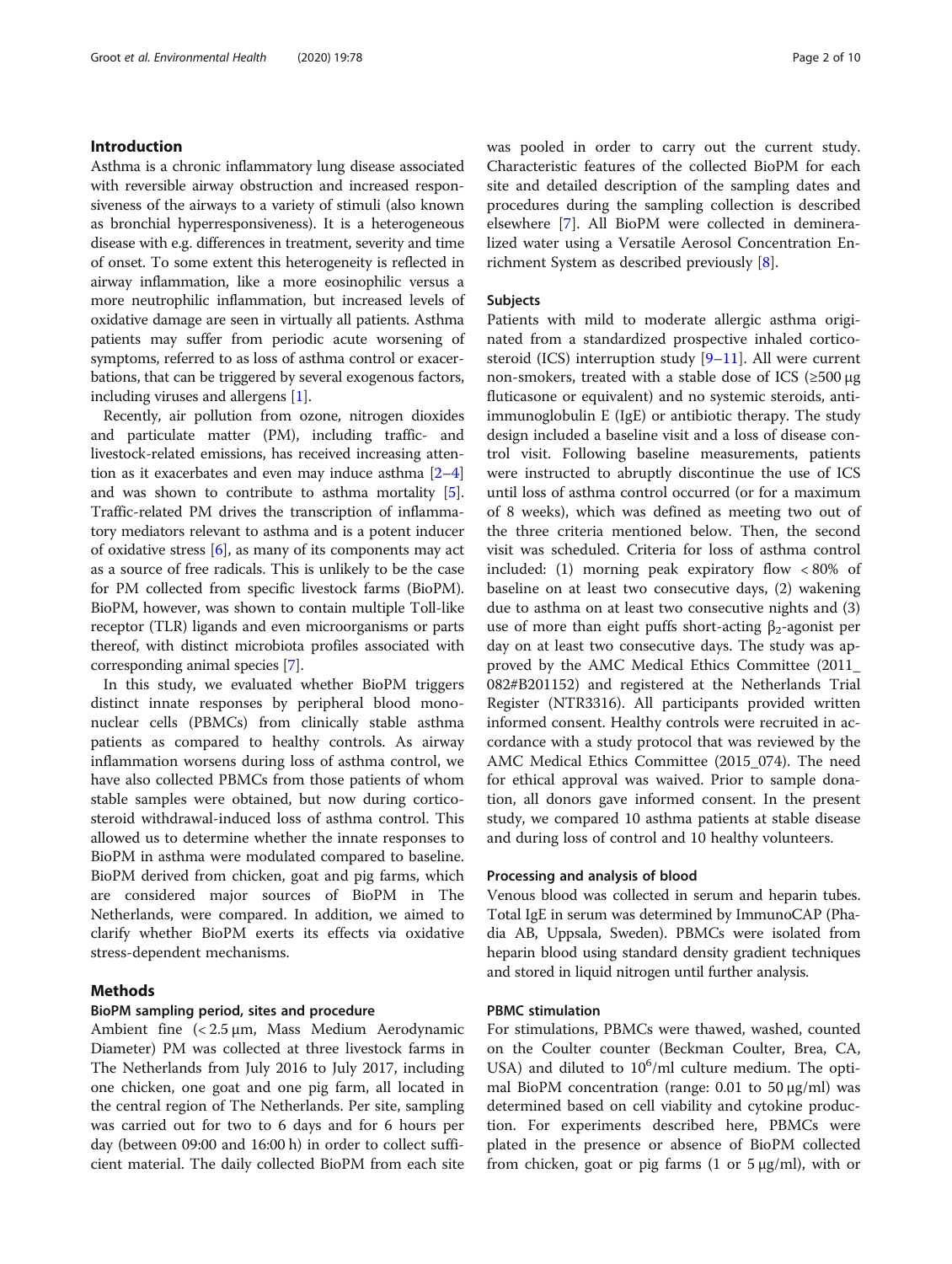## Introduction

Asthma is a chronic inflammatory lung disease associated with reversible airway obstruction and increased responsiveness of the airways to a variety of stimuli (also known as bronchial hyperresponsiveness). It is a heterogeneous disease with e.g. differences in treatment, severity and time of onset. To some extent this heterogeneity is reflected in airway inflammation, like a more eosinophilic versus a more neutrophilic inflammation, but increased levels of oxidative damage are seen in virtually all patients. Asthma patients may suffer from periodic acute worsening of symptoms, referred to as loss of asthma control or exacerbations, that can be triggered by several exogenous factors, including viruses and allergens [[1\]](#page-8-0).

Recently, air pollution from ozone, nitrogen dioxides and particulate matter (PM), including traffic- and livestock-related emissions, has received increasing attention as it exacerbates and even may induce asthma [[2](#page-8-0)–[4](#page-8-0)] and was shown to contribute to asthma mortality [[5](#page-8-0)]. Traffic-related PM drives the transcription of inflammatory mediators relevant to asthma and is a potent inducer of oxidative stress  $[6]$  $[6]$  $[6]$ , as many of its components may act as a source of free radicals. This is unlikely to be the case for PM collected from specific livestock farms (BioPM). BioPM, however, was shown to contain multiple Toll-like receptor (TLR) ligands and even microorganisms or parts thereof, with distinct microbiota profiles associated with corresponding animal species [\[7\]](#page-8-0).

In this study, we evaluated whether BioPM triggers distinct innate responses by peripheral blood mononuclear cells (PBMCs) from clinically stable asthma patients as compared to healthy controls. As airway inflammation worsens during loss of asthma control, we have also collected PBMCs from those patients of whom stable samples were obtained, but now during corticosteroid withdrawal-induced loss of asthma control. This allowed us to determine whether the innate responses to BioPM in asthma were modulated compared to baseline. BioPM derived from chicken, goat and pig farms, which are considered major sources of BioPM in The Netherlands, were compared. In addition, we aimed to clarify whether BioPM exerts its effects via oxidative stress-dependent mechanisms.

## Methods

## BioPM sampling period, sites and procedure

Ambient fine (< 2.5 μm, Mass Medium Aerodynamic Diameter) PM was collected at three livestock farms in The Netherlands from July 2016 to July 2017, including one chicken, one goat and one pig farm, all located in the central region of The Netherlands. Per site, sampling was carried out for two to 6 days and for 6 hours per day (between 09:00 and 16:00 h) in order to collect sufficient material. The daily collected BioPM from each site was pooled in order to carry out the current study. Characteristic features of the collected BioPM for each site and detailed description of the sampling dates and procedures during the sampling collection is described elsewhere [[7\]](#page-8-0). All BioPM were collected in demineralized water using a Versatile Aerosol Concentration Enrichment System as described previously [\[8](#page-8-0)].

#### Subjects

Patients with mild to moderate allergic asthma originated from a standardized prospective inhaled corticosteroid (ICS) interruption study [[9](#page-8-0)–[11](#page-8-0)]. All were current non-smokers, treated with a stable dose of ICS  $(\geq 500 \,\mu g)$ fluticasone or equivalent) and no systemic steroids, antiimmunoglobulin E (IgE) or antibiotic therapy. The study design included a baseline visit and a loss of disease control visit. Following baseline measurements, patients were instructed to abruptly discontinue the use of ICS until loss of asthma control occurred (or for a maximum of 8 weeks), which was defined as meeting two out of the three criteria mentioned below. Then, the second visit was scheduled. Criteria for loss of asthma control included: (1) morning peak expiratory flow < 80% of baseline on at least two consecutive days, (2) wakening due to asthma on at least two consecutive nights and (3) use of more than eight puffs short-acting  $\beta_2$ -agonist per day on at least two consecutive days. The study was approved by the AMC Medical Ethics Committee (2011\_ 082#B201152) and registered at the Netherlands Trial Register (NTR3316). All participants provided written informed consent. Healthy controls were recruited in accordance with a study protocol that was reviewed by the AMC Medical Ethics Committee (2015\_074). The need for ethical approval was waived. Prior to sample donation, all donors gave informed consent. In the present study, we compared 10 asthma patients at stable disease and during loss of control and 10 healthy volunteers.

## Processing and analysis of blood

Venous blood was collected in serum and heparin tubes. Total IgE in serum was determined by ImmunoCAP (Phadia AB, Uppsala, Sweden). PBMCs were isolated from heparin blood using standard density gradient techniques and stored in liquid nitrogen until further analysis.

## PBMC stimulation

For stimulations, PBMCs were thawed, washed, counted on the Coulter counter (Beckman Coulter, Brea, CA, USA) and diluted to  $10^6$ /ml culture medium. The optimal BioPM concentration (range: 0.01 to 50 μg/ml) was determined based on cell viability and cytokine production. For experiments described here, PBMCs were plated in the presence or absence of BioPM collected from chicken, goat or pig farms  $(1 \text{ or } 5 \mu g/ml)$ , with or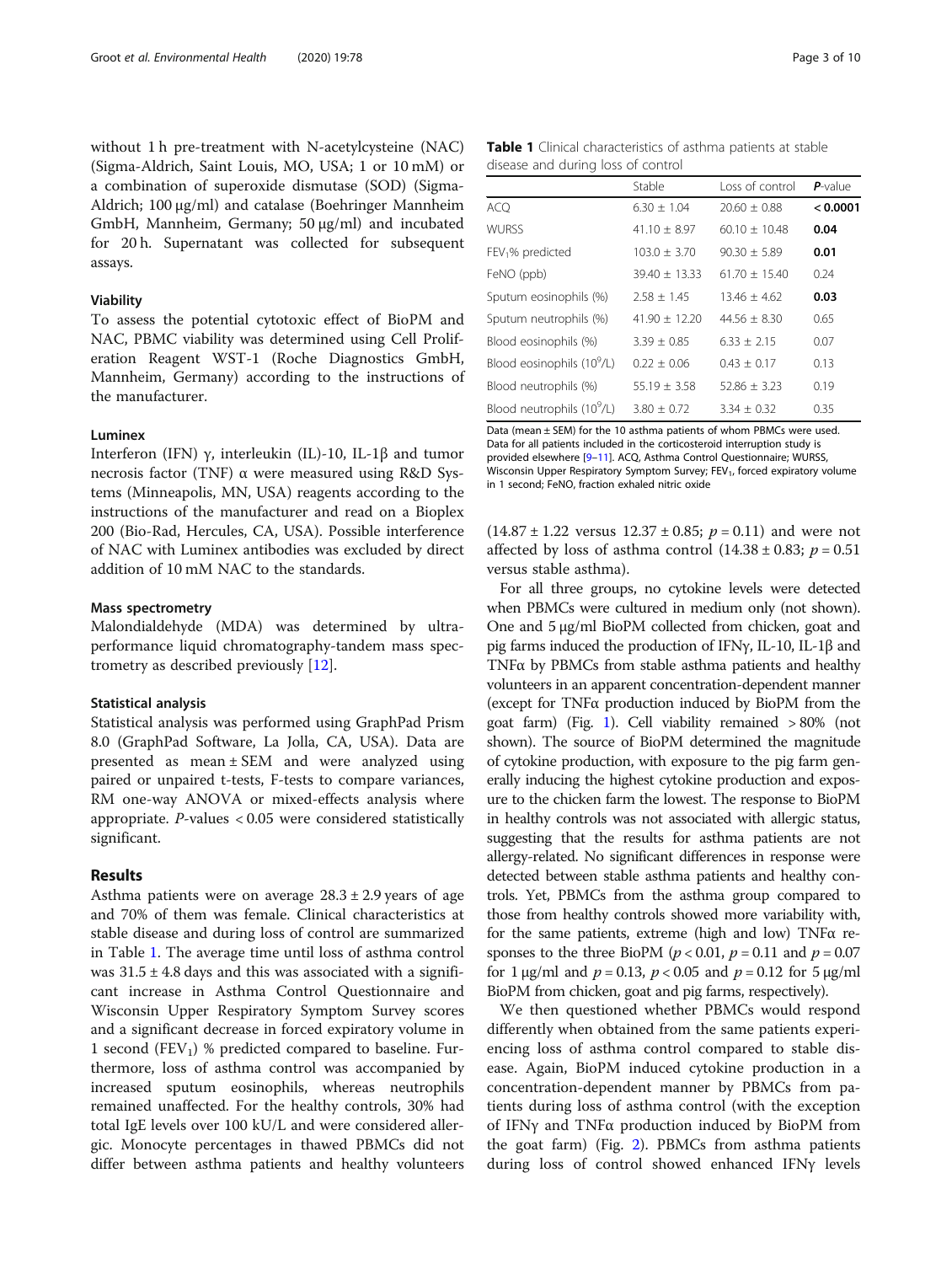without 1 h pre-treatment with N-acetylcysteine (NAC) (Sigma-Aldrich, Saint Louis, MO, USA; 1 or 10 mM) or a combination of superoxide dismutase (SOD) (Sigma-Aldrich; 100 μg/ml) and catalase (Boehringer Mannheim GmbH, Mannheim, Germany; 50 μg/ml) and incubated for 20 h. Supernatant was collected for subsequent assays.

#### Viability

To assess the potential cytotoxic effect of BioPM and NAC, PBMC viability was determined using Cell Proliferation Reagent WST-1 (Roche Diagnostics GmbH, Mannheim, Germany) according to the instructions of the manufacturer.

## Luminex

Interferon (IFN) γ, interleukin (IL)-10, IL-1β and tumor necrosis factor (TNF) α were measured using R&D Systems (Minneapolis, MN, USA) reagents according to the instructions of the manufacturer and read on a Bioplex 200 (Bio-Rad, Hercules, CA, USA). Possible interference of NAC with Luminex antibodies was excluded by direct addition of 10 mM NAC to the standards.

## Mass spectrometry

Malondialdehyde (MDA) was determined by ultraperformance liquid chromatography-tandem mass spectrometry as described previously [[12\]](#page-8-0).

#### Statistical analysis

Statistical analysis was performed using GraphPad Prism 8.0 (GraphPad Software, La Jolla, CA, USA). Data are presented as mean ± SEM and were analyzed using paired or unpaired t-tests, F-tests to compare variances, RM one-way ANOVA or mixed-effects analysis where appropriate. P-values < 0.05 were considered statistically significant.

## Results

Asthma patients were on average  $28.3 \pm 2.9$  years of age and 70% of them was female. Clinical characteristics at stable disease and during loss of control are summarized in Table 1. The average time until loss of asthma control was  $31.5 \pm 4.8$  days and this was associated with a significant increase in Asthma Control Questionnaire and Wisconsin Upper Respiratory Symptom Survey scores and a significant decrease in forced expiratory volume in 1 second  $(FEV_1)$  % predicted compared to baseline. Furthermore, loss of asthma control was accompanied by increased sputum eosinophils, whereas neutrophils remained unaffected. For the healthy controls, 30% had total IgE levels over 100 kU/L and were considered allergic. Monocyte percentages in thawed PBMCs did not differ between asthma patients and healthy volunteers

Table 1 Clinical characteristics of asthma patients at stable disease and during loss of control

|                                        | Stable            | Loss of control  | $P$ -value |
|----------------------------------------|-------------------|------------------|------------|
| <b>ACQ</b>                             | $6.30 + 1.04$     | $20.60 \pm 0.88$ | < 0.0001   |
| <b>WURSS</b>                           | $41.10 + 8.97$    | $60.10 + 10.48$  | 0.04       |
| FEV <sub>1</sub> % predicted           | $103.0 + 3.70$    | $90.30 + 5.89$   | 0.01       |
| FeNO (ppb)                             | $39.40 + 13.33$   | $61.70 + 15.40$  | 0.24       |
| Sputum eosinophils (%)                 | $2.58 \pm 1.45$   | $13.46 \pm 4.62$ | 0.03       |
| Sputum neutrophils (%)                 | $41.90 \pm 12.20$ | $44.56 + 8.30$   | 0.65       |
| Blood eosinophils (%)                  | $3.39 + 0.85$     | $6.33 + 2.15$    | 0.07       |
| Blood eosinophils (10 <sup>9</sup> /L) | $0.22 + 0.06$     | $0.43 + 0.17$    | 0.13       |
| Blood neutrophils (%)                  | $55.19 + 3.58$    | $52.86 + 3.23$   | 0.19       |
| Blood neutrophils (10 <sup>9</sup> /L) | $3.80 + 0.72$     | $3.34 + 0.32$    | 0.35       |

Data (mean ± SEM) for the 10 asthma patients of whom PBMCs were used. Data for all patients included in the corticosteroid interruption study is provided elsewhere [[9](#page-8-0)–[11](#page-8-0)]. ACQ, Asthma Control Questionnaire; WURSS, Wisconsin Upper Respiratory Symptom Survey; FEV<sub>1</sub>, forced expiratory volume in 1 second; FeNO, fraction exhaled nitric oxide

 $(14.87 \pm 1.22 \text{ versus } 12.37 \pm 0.85; p = 0.11)$  and were not affected by loss of asthma control  $(14.38 \pm 0.83; p = 0.51)$ versus stable asthma).

For all three groups, no cytokine levels were detected when PBMCs were cultured in medium only (not shown). One and 5 μg/ml BioPM collected from chicken, goat and pig farms induced the production of IFNγ, IL-10, IL-1β and TNFα by PBMCs from stable asthma patients and healthy volunteers in an apparent concentration-dependent manner (except for TNFα production induced by BioPM from the goat farm) (Fig. [1](#page-3-0)). Cell viability remained > 80% (not shown). The source of BioPM determined the magnitude of cytokine production, with exposure to the pig farm generally inducing the highest cytokine production and exposure to the chicken farm the lowest. The response to BioPM in healthy controls was not associated with allergic status, suggesting that the results for asthma patients are not allergy-related. No significant differences in response were detected between stable asthma patients and healthy controls. Yet, PBMCs from the asthma group compared to those from healthy controls showed more variability with, for the same patients, extreme (high and low) TNFα responses to the three BioPM ( $p < 0.01$ ,  $p = 0.11$  and  $p = 0.07$ for 1  $\mu$ g/ml and  $p = 0.13$ ,  $p < 0.05$  and  $p = 0.12$  for 5  $\mu$ g/ml BioPM from chicken, goat and pig farms, respectively).

We then questioned whether PBMCs would respond differently when obtained from the same patients experiencing loss of asthma control compared to stable disease. Again, BioPM induced cytokine production in a concentration-dependent manner by PBMCs from patients during loss of asthma control (with the exception of IFNγ and TNFα production induced by BioPM from the goat farm) (Fig. [2\)](#page-4-0). PBMCs from asthma patients during loss of control showed enhanced IFNγ levels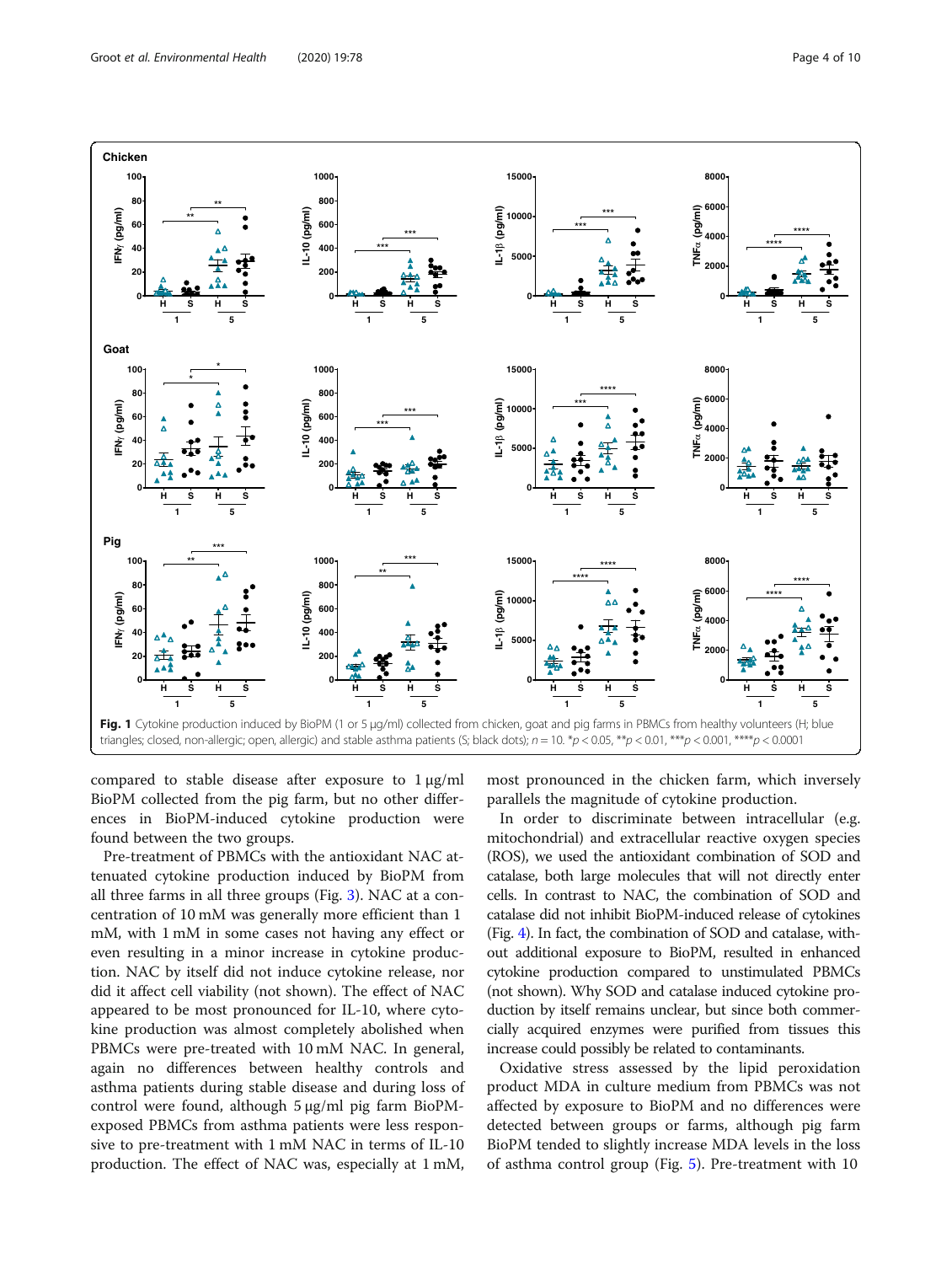<span id="page-3-0"></span>

compared to stable disease after exposure to  $1 \mu g/ml$ BioPM collected from the pig farm, but no other differences in BioPM-induced cytokine production were found between the two groups.

Pre-treatment of PBMCs with the antioxidant NAC attenuated cytokine production induced by BioPM from all three farms in all three groups (Fig. [3](#page-5-0)). NAC at a concentration of 10 mM was generally more efficient than 1 mM, with 1 mM in some cases not having any effect or even resulting in a minor increase in cytokine production. NAC by itself did not induce cytokine release, nor did it affect cell viability (not shown). The effect of NAC appeared to be most pronounced for IL-10, where cytokine production was almost completely abolished when PBMCs were pre-treated with 10 mM NAC. In general, again no differences between healthy controls and asthma patients during stable disease and during loss of control were found, although 5 μg/ml pig farm BioPMexposed PBMCs from asthma patients were less responsive to pre-treatment with 1 mM NAC in terms of IL-10 production. The effect of NAC was, especially at 1 mM, most pronounced in the chicken farm, which inversely parallels the magnitude of cytokine production.

In order to discriminate between intracellular (e.g. mitochondrial) and extracellular reactive oxygen species (ROS), we used the antioxidant combination of SOD and catalase, both large molecules that will not directly enter cells. In contrast to NAC, the combination of SOD and catalase did not inhibit BioPM-induced release of cytokines (Fig. [4\)](#page-5-0). In fact, the combination of SOD and catalase, without additional exposure to BioPM, resulted in enhanced cytokine production compared to unstimulated PBMCs (not shown). Why SOD and catalase induced cytokine production by itself remains unclear, but since both commercially acquired enzymes were purified from tissues this increase could possibly be related to contaminants.

Oxidative stress assessed by the lipid peroxidation product MDA in culture medium from PBMCs was not affected by exposure to BioPM and no differences were detected between groups or farms, although pig farm BioPM tended to slightly increase MDA levels in the loss of asthma control group (Fig. [5\)](#page-6-0). Pre-treatment with 10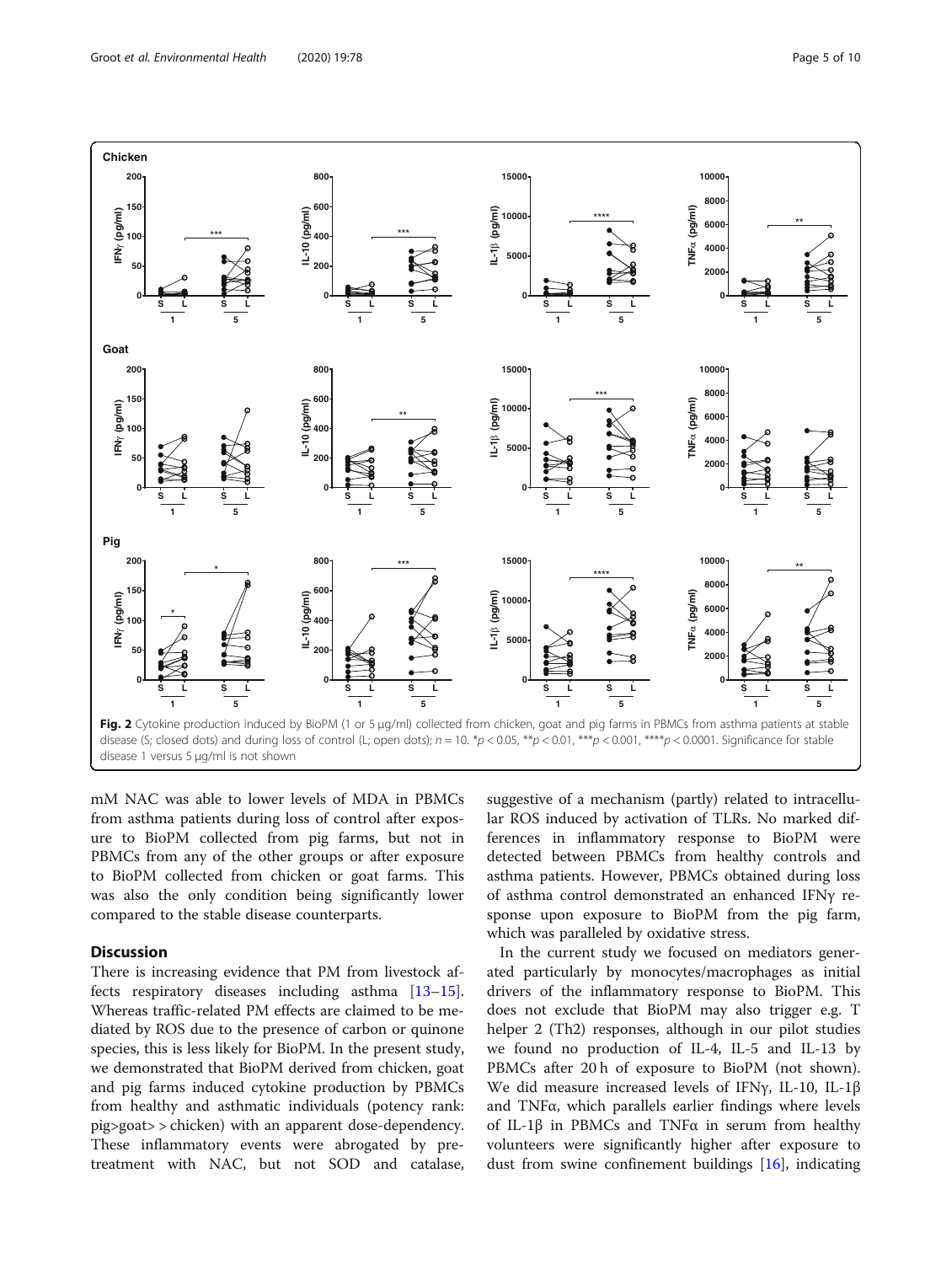<span id="page-4-0"></span>

mM NAC was able to lower levels of MDA in PBMCs from asthma patients during loss of control after exposure to BioPM collected from pig farms, but not in PBMCs from any of the other groups or after exposure to BioPM collected from chicken or goat farms. This was also the only condition being significantly lower compared to the stable disease counterparts.

## **Discussion**

There is increasing evidence that PM from livestock affects respiratory diseases including asthma [[13](#page-8-0)–[15](#page-8-0)]. Whereas traffic-related PM effects are claimed to be mediated by ROS due to the presence of carbon or quinone species, this is less likely for BioPM. In the present study, we demonstrated that BioPM derived from chicken, goat and pig farms induced cytokine production by PBMCs from healthy and asthmatic individuals (potency rank: pig>goat> > chicken) with an apparent dose-dependency. These inflammatory events were abrogated by pretreatment with NAC, but not SOD and catalase,

suggestive of a mechanism (partly) related to intracellular ROS induced by activation of TLRs. No marked differences in inflammatory response to BioPM were detected between PBMCs from healthy controls and asthma patients. However, PBMCs obtained during loss of asthma control demonstrated an enhanced IFNγ response upon exposure to BioPM from the pig farm, which was paralleled by oxidative stress.

In the current study we focused on mediators generated particularly by monocytes/macrophages as initial drivers of the inflammatory response to BioPM. This does not exclude that BioPM may also trigger e.g. T helper 2 (Th2) responses, although in our pilot studies we found no production of IL-4, IL-5 and IL-13 by PBMCs after 20 h of exposure to BioPM (not shown). We did measure increased levels of IFNγ, IL-10, IL-1β and TNFα, which parallels earlier findings where levels of IL-1β in PBMCs and TNFα in serum from healthy volunteers were significantly higher after exposure to dust from swine confinement buildings [[16](#page-8-0)], indicating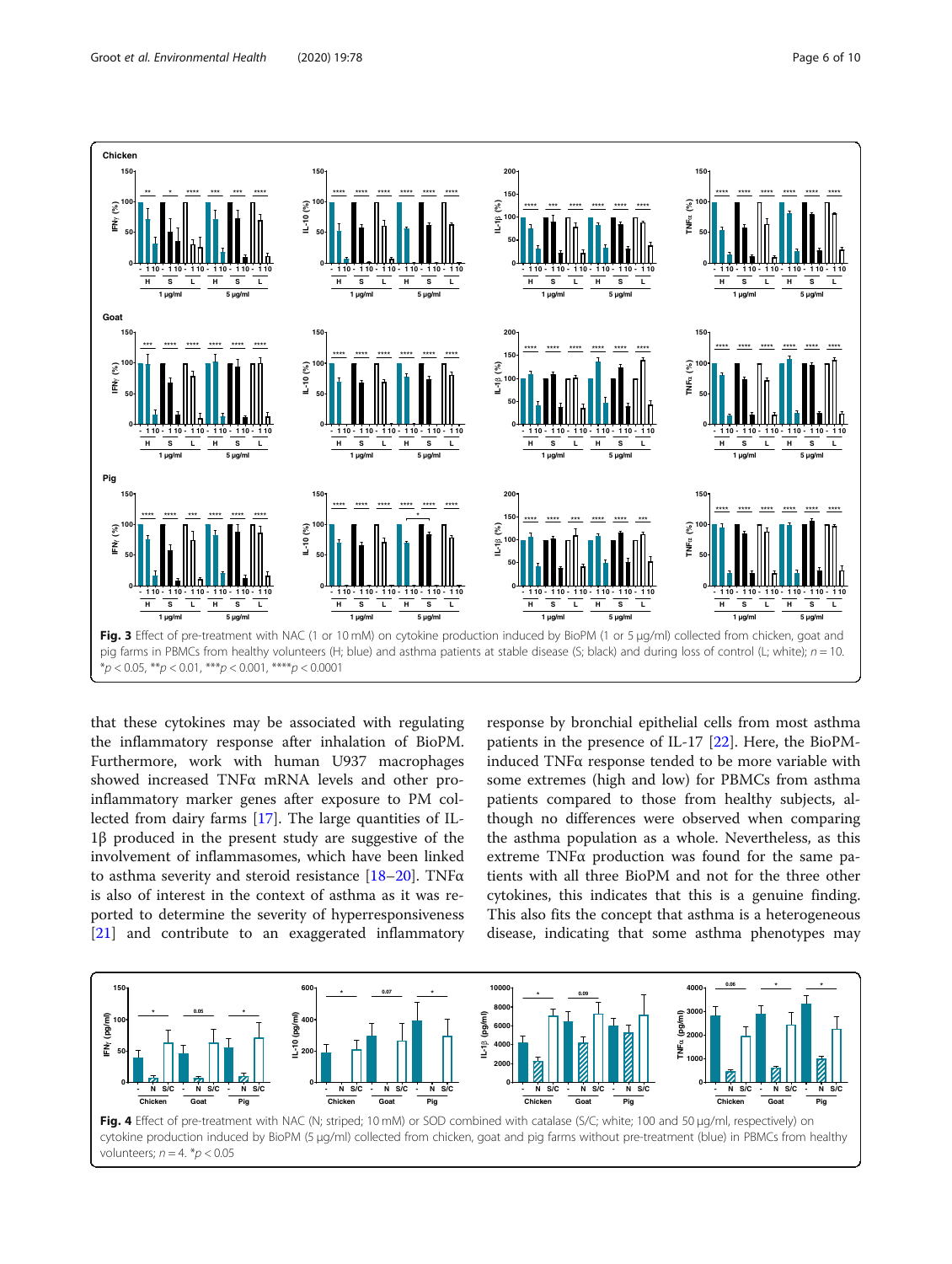<span id="page-5-0"></span>

that these cytokines may be associated with regulating the inflammatory response after inhalation of BioPM. Furthermore, work with human U937 macrophages showed increased TNFα mRNA levels and other proinflammatory marker genes after exposure to PM collected from dairy farms [\[17](#page-8-0)]. The large quantities of IL-1β produced in the present study are suggestive of the involvement of inflammasomes, which have been linked to asthma severity and steroid resistance  $[18–20]$  $[18–20]$  $[18–20]$  $[18–20]$  $[18–20]$ . TNF $\alpha$ is also of interest in the context of asthma as it was reported to determine the severity of hyperresponsiveness [[21\]](#page-8-0) and contribute to an exaggerated inflammatory

response by bronchial epithelial cells from most asthma patients in the presence of IL-17 [[22](#page-8-0)]. Here, the BioPMinduced TNFα response tended to be more variable with some extremes (high and low) for PBMCs from asthma patients compared to those from healthy subjects, although no differences were observed when comparing the asthma population as a whole. Nevertheless, as this extreme TNFα production was found for the same patients with all three BioPM and not for the three other cytokines, this indicates that this is a genuine finding. This also fits the concept that asthma is a heterogeneous disease, indicating that some asthma phenotypes may

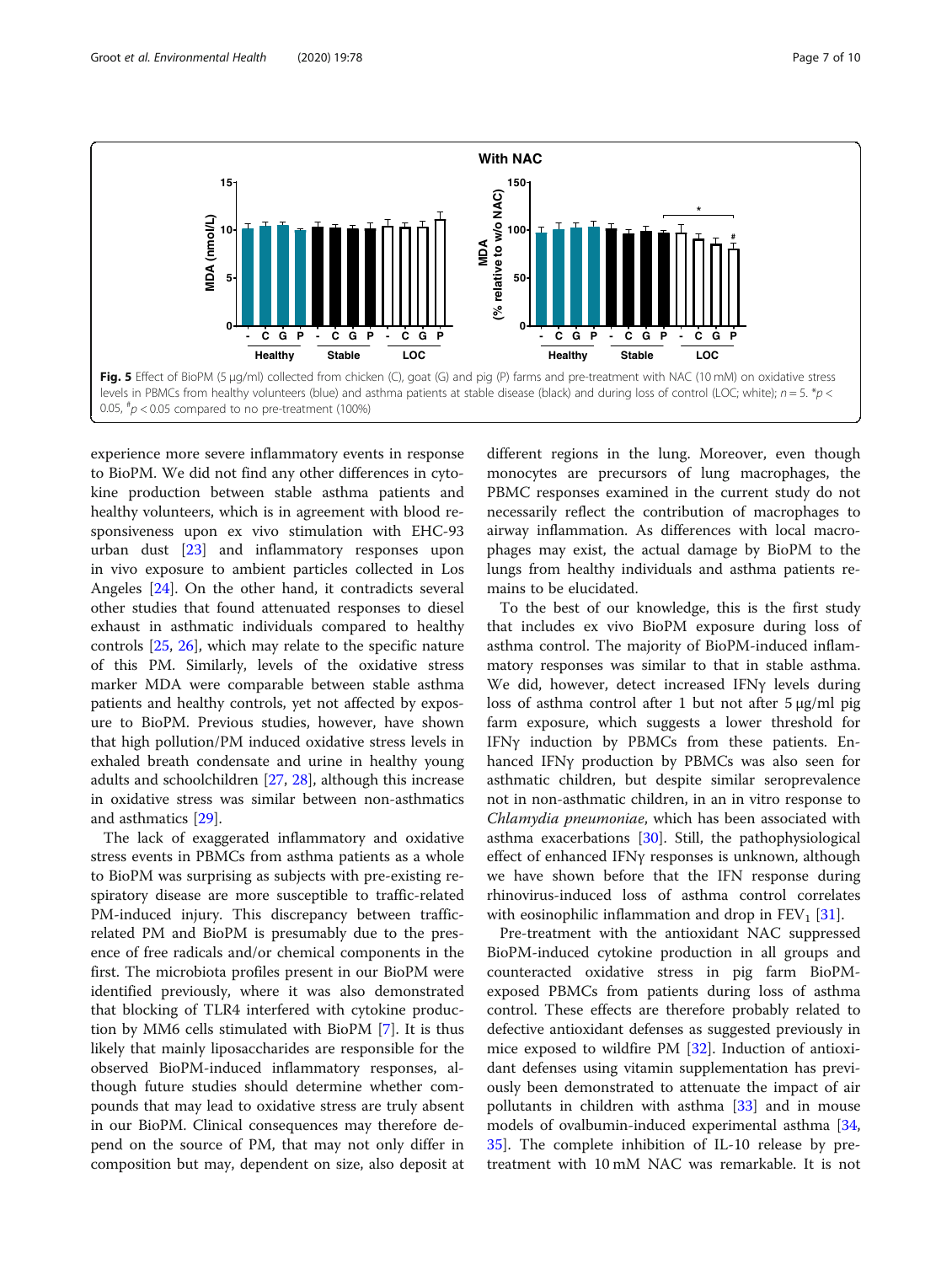<span id="page-6-0"></span>

experience more severe inflammatory events in response to BioPM. We did not find any other differences in cytokine production between stable asthma patients and healthy volunteers, which is in agreement with blood responsiveness upon ex vivo stimulation with EHC-93 urban dust [[23](#page-8-0)] and inflammatory responses upon in vivo exposure to ambient particles collected in Los Angeles [\[24](#page-8-0)]. On the other hand, it contradicts several other studies that found attenuated responses to diesel exhaust in asthmatic individuals compared to healthy controls [\[25](#page-8-0), [26](#page-8-0)], which may relate to the specific nature of this PM. Similarly, levels of the oxidative stress marker MDA were comparable between stable asthma patients and healthy controls, yet not affected by exposure to BioPM. Previous studies, however, have shown that high pollution/PM induced oxidative stress levels in exhaled breath condensate and urine in healthy young adults and schoolchildren [[27,](#page-8-0) [28\]](#page-8-0), although this increase in oxidative stress was similar between non-asthmatics and asthmatics [[29\]](#page-8-0).

The lack of exaggerated inflammatory and oxidative stress events in PBMCs from asthma patients as a whole to BioPM was surprising as subjects with pre-existing respiratory disease are more susceptible to traffic-related PM-induced injury. This discrepancy between trafficrelated PM and BioPM is presumably due to the presence of free radicals and/or chemical components in the first. The microbiota profiles present in our BioPM were identified previously, where it was also demonstrated that blocking of TLR4 interfered with cytokine production by MM6 cells stimulated with BioPM [[7](#page-8-0)]. It is thus likely that mainly liposaccharides are responsible for the observed BioPM-induced inflammatory responses, although future studies should determine whether compounds that may lead to oxidative stress are truly absent in our BioPM. Clinical consequences may therefore depend on the source of PM, that may not only differ in composition but may, dependent on size, also deposit at

different regions in the lung. Moreover, even though monocytes are precursors of lung macrophages, the PBMC responses examined in the current study do not necessarily reflect the contribution of macrophages to airway inflammation. As differences with local macrophages may exist, the actual damage by BioPM to the lungs from healthy individuals and asthma patients remains to be elucidated.

To the best of our knowledge, this is the first study that includes ex vivo BioPM exposure during loss of asthma control. The majority of BioPM-induced inflammatory responses was similar to that in stable asthma. We did, however, detect increased IFNγ levels during loss of asthma control after 1 but not after 5 μg/ml pig farm exposure, which suggests a lower threshold for IFNγ induction by PBMCs from these patients. Enhanced IFNγ production by PBMCs was also seen for asthmatic children, but despite similar seroprevalence not in non-asthmatic children, in an in vitro response to Chlamydia pneumoniae, which has been associated with asthma exacerbations [\[30](#page-8-0)]. Still, the pathophysiological effect of enhanced IFNγ responses is unknown, although we have shown before that the IFN response during rhinovirus-induced loss of asthma control correlates with eosinophilic inflammation and drop in  $FEV<sub>1</sub>$  [\[31](#page-9-0)].

Pre-treatment with the antioxidant NAC suppressed BioPM-induced cytokine production in all groups and counteracted oxidative stress in pig farm BioPMexposed PBMCs from patients during loss of asthma control. These effects are therefore probably related to defective antioxidant defenses as suggested previously in mice exposed to wildfire PM [[32\]](#page-9-0). Induction of antioxidant defenses using vitamin supplementation has previously been demonstrated to attenuate the impact of air pollutants in children with asthma [\[33](#page-9-0)] and in mouse models of ovalbumin-induced experimental asthma [[34](#page-9-0), [35\]](#page-9-0). The complete inhibition of IL-10 release by pretreatment with 10 mM NAC was remarkable. It is not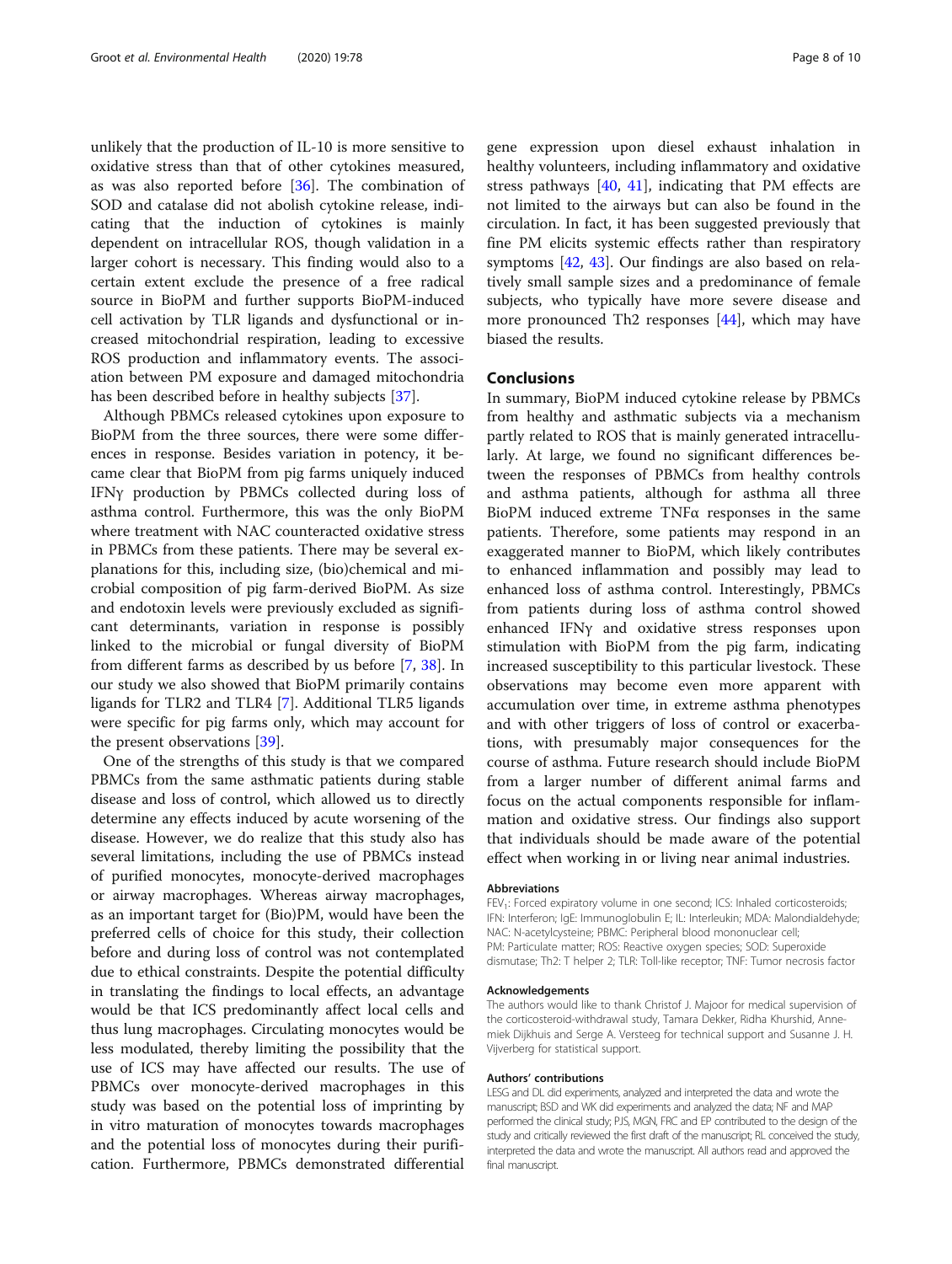unlikely that the production of IL-10 is more sensitive to oxidative stress than that of other cytokines measured, as was also reported before [[36](#page-9-0)]. The combination of SOD and catalase did not abolish cytokine release, indicating that the induction of cytokines is mainly dependent on intracellular ROS, though validation in a larger cohort is necessary. This finding would also to a certain extent exclude the presence of a free radical source in BioPM and further supports BioPM-induced cell activation by TLR ligands and dysfunctional or increased mitochondrial respiration, leading to excessive ROS production and inflammatory events. The association between PM exposure and damaged mitochondria has been described before in healthy subjects [[37](#page-9-0)].

Although PBMCs released cytokines upon exposure to BioPM from the three sources, there were some differences in response. Besides variation in potency, it became clear that BioPM from pig farms uniquely induced IFNγ production by PBMCs collected during loss of asthma control. Furthermore, this was the only BioPM where treatment with NAC counteracted oxidative stress in PBMCs from these patients. There may be several explanations for this, including size, (bio)chemical and microbial composition of pig farm-derived BioPM. As size and endotoxin levels were previously excluded as significant determinants, variation in response is possibly linked to the microbial or fungal diversity of BioPM from different farms as described by us before [\[7](#page-8-0), [38](#page-9-0)]. In our study we also showed that BioPM primarily contains ligands for TLR2 and TLR4 [\[7](#page-8-0)]. Additional TLR5 ligands were specific for pig farms only, which may account for the present observations [[39](#page-9-0)].

One of the strengths of this study is that we compared PBMCs from the same asthmatic patients during stable disease and loss of control, which allowed us to directly determine any effects induced by acute worsening of the disease. However, we do realize that this study also has several limitations, including the use of PBMCs instead of purified monocytes, monocyte-derived macrophages or airway macrophages. Whereas airway macrophages, as an important target for (Bio)PM, would have been the preferred cells of choice for this study, their collection before and during loss of control was not contemplated due to ethical constraints. Despite the potential difficulty in translating the findings to local effects, an advantage would be that ICS predominantly affect local cells and thus lung macrophages. Circulating monocytes would be less modulated, thereby limiting the possibility that the use of ICS may have affected our results. The use of PBMCs over monocyte-derived macrophages in this study was based on the potential loss of imprinting by in vitro maturation of monocytes towards macrophages and the potential loss of monocytes during their purification. Furthermore, PBMCs demonstrated differential

gene expression upon diesel exhaust inhalation in healthy volunteers, including inflammatory and oxidative stress pathways  $[40, 41]$  $[40, 41]$  $[40, 41]$  $[40, 41]$ , indicating that PM effects are not limited to the airways but can also be found in the circulation. In fact, it has been suggested previously that fine PM elicits systemic effects rather than respiratory symptoms [\[42](#page-9-0), [43\]](#page-9-0). Our findings are also based on relatively small sample sizes and a predominance of female subjects, who typically have more severe disease and more pronounced Th2 responses [\[44](#page-9-0)], which may have biased the results.

#### Conclusions

In summary, BioPM induced cytokine release by PBMCs from healthy and asthmatic subjects via a mechanism partly related to ROS that is mainly generated intracellularly. At large, we found no significant differences between the responses of PBMCs from healthy controls and asthma patients, although for asthma all three BioPM induced extreme TNFα responses in the same patients. Therefore, some patients may respond in an exaggerated manner to BioPM, which likely contributes to enhanced inflammation and possibly may lead to enhanced loss of asthma control. Interestingly, PBMCs from patients during loss of asthma control showed enhanced IFNγ and oxidative stress responses upon stimulation with BioPM from the pig farm, indicating increased susceptibility to this particular livestock. These observations may become even more apparent with accumulation over time, in extreme asthma phenotypes and with other triggers of loss of control or exacerbations, with presumably major consequences for the course of asthma. Future research should include BioPM from a larger number of different animal farms and focus on the actual components responsible for inflammation and oxidative stress. Our findings also support that individuals should be made aware of the potential effect when working in or living near animal industries.

#### Abbreviations

FEV<sub>1</sub>: Forced expiratory volume in one second; ICS: Inhaled corticosteroids; IFN: Interferon; IgE: Immunoglobulin E; IL: Interleukin; MDA: Malondialdehyde; NAC: N-acetylcysteine; PBMC: Peripheral blood mononuclear cell; PM: Particulate matter; ROS: Reactive oxygen species; SOD: Superoxide dismutase; Th2: T helper 2; TLR: Toll-like receptor; TNF: Tumor necrosis factor

#### Acknowledgements

The authors would like to thank Christof J. Majoor for medical supervision of the corticosteroid-withdrawal study, Tamara Dekker, Ridha Khurshid, Annemiek Dijkhuis and Serge A. Versteeg for technical support and Susanne J. H. Vijverberg for statistical support.

#### Authors' contributions

LESG and DL did experiments, analyzed and interpreted the data and wrote the manuscript; BSD and WK did experiments and analyzed the data; NF and MAP performed the clinical study; PJS, MGN, FRC and EP contributed to the design of the study and critically reviewed the first draft of the manuscript; RL conceived the study, interpreted the data and wrote the manuscript. All authors read and approved the final manuscript.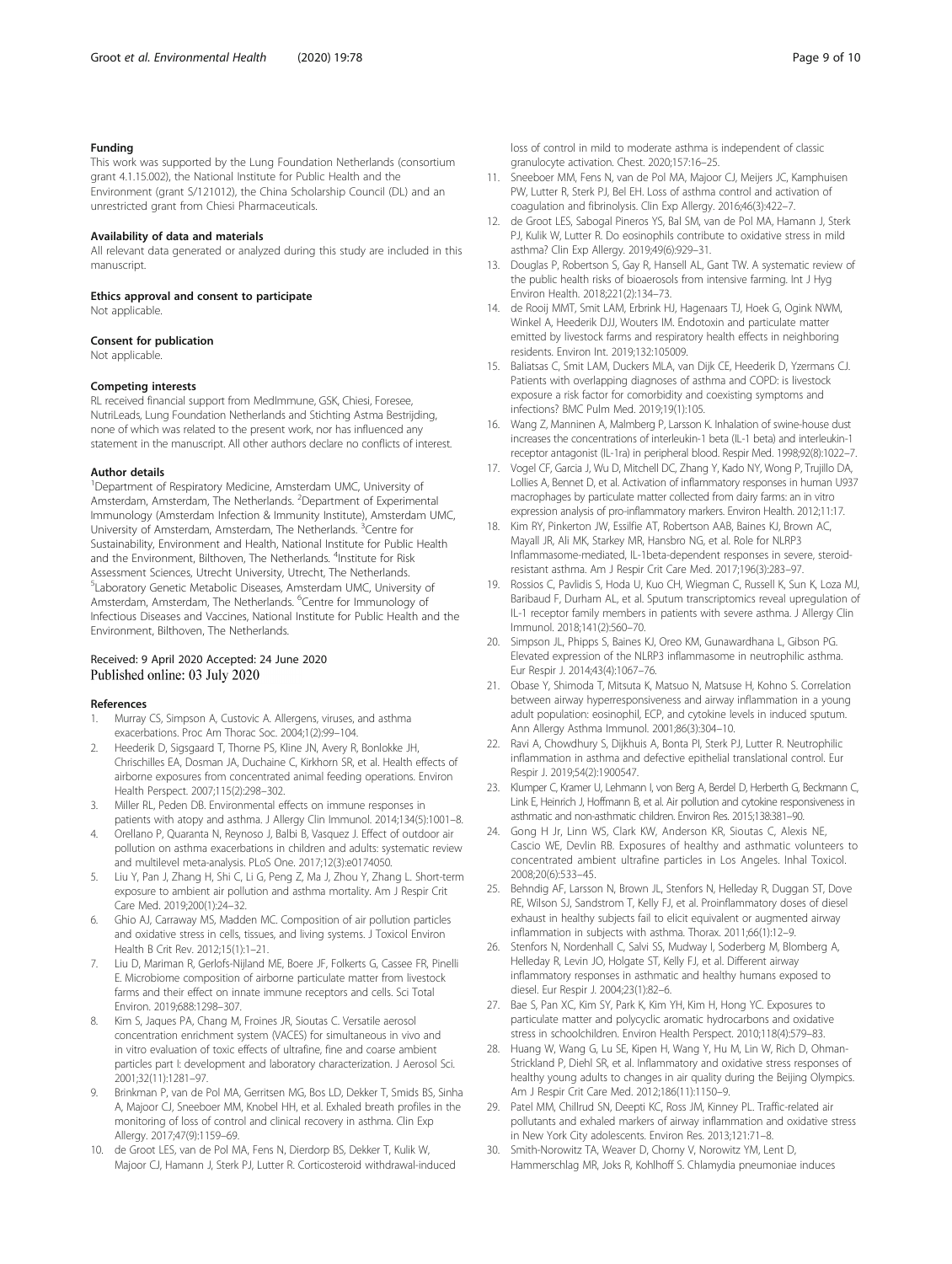### <span id="page-8-0"></span>Funding

This work was supported by the Lung Foundation Netherlands (consortium grant 4.1.15.002), the National Institute for Public Health and the Environment (grant S/121012), the China Scholarship Council (DL) and an unrestricted grant from Chiesi Pharmaceuticals.

#### Availability of data and materials

All relevant data generated or analyzed during this study are included in this manuscript.

#### Ethics approval and consent to participate

Not applicable.

#### Consent for publication

Not applicable.

#### Competing interests

RL received financial support from MedImmune, GSK, Chiesi, Foresee, NutriLeads, Lung Foundation Netherlands and Stichting Astma Bestrijding, none of which was related to the present work, nor has influenced any statement in the manuscript. All other authors declare no conflicts of interest.

#### Author details

<sup>1</sup>Department of Respiratory Medicine, Amsterdam UMC, University of Amsterdam, Amsterdam, The Netherlands. <sup>2</sup>Department of Experimental Immunology (Amsterdam Infection & Immunity Institute), Amsterdam UMC, University of Amsterdam, Amsterdam, The Netherlands. <sup>3</sup>Centre for Sustainability, Environment and Health, National Institute for Public Health and the Environment, Bilthoven, The Netherlands. <sup>4</sup>Institute for Risk Assessment Sciences, Utrecht University, Utrecht, The Netherlands. 5 Laboratory Genetic Metabolic Diseases, Amsterdam UMC, University of Amsterdam, Amsterdam, The Netherlands. <sup>6</sup>Centre for Immunology of Infectious Diseases and Vaccines, National Institute for Public Health and the Environment, Bilthoven, The Netherlands.

## Received: 9 April 2020 Accepted: 24 June 2020<br>Published online: 03 July 2020

#### References

- 1. Murray CS, Simpson A, Custovic A. Allergens, viruses, and asthma exacerbations. Proc Am Thorac Soc. 2004;1(2):99–104.
- 2. Heederik D, Sigsgaard T, Thorne PS, Kline JN, Avery R, Bonlokke JH, Chrischilles EA, Dosman JA, Duchaine C, Kirkhorn SR, et al. Health effects of airborne exposures from concentrated animal feeding operations. Environ Health Perspect. 2007;115(2):298–302.
- 3. Miller RL, Peden DB. Environmental effects on immune responses in patients with atopy and asthma. J Allergy Clin Immunol. 2014;134(5):1001–8.
- 4. Orellano P, Quaranta N, Reynoso J, Balbi B, Vasquez J. Effect of outdoor air pollution on asthma exacerbations in children and adults: systematic review and multilevel meta-analysis. PLoS One. 2017;12(3):e0174050.
- 5. Liu Y, Pan J, Zhang H, Shi C, Li G, Peng Z, Ma J, Zhou Y, Zhang L. Short-term exposure to ambient air pollution and asthma mortality. Am J Respir Crit Care Med. 2019;200(1):24–32.
- 6. Ghio AJ, Carraway MS, Madden MC. Composition of air pollution particles and oxidative stress in cells, tissues, and living systems. J Toxicol Environ Health B Crit Rev. 2012;15(1):1–21.
- 7. Liu D, Mariman R, Gerlofs-Nijland ME, Boere JF, Folkerts G, Cassee FR, Pinelli E. Microbiome composition of airborne particulate matter from livestock farms and their effect on innate immune receptors and cells. Sci Total Environ. 2019;688:1298–307.
- Kim S, Jaques PA, Chang M, Froines JR, Sioutas C. Versatile aerosol concentration enrichment system (VACES) for simultaneous in vivo and in vitro evaluation of toxic effects of ultrafine, fine and coarse ambient particles part I: development and laboratory characterization. J Aerosol Sci. 2001;32(11):1281–97.
- 9. Brinkman P, van de Pol MA, Gerritsen MG, Bos LD, Dekker T, Smids BS, Sinha A, Majoor CJ, Sneeboer MM, Knobel HH, et al. Exhaled breath profiles in the monitoring of loss of control and clinical recovery in asthma. Clin Exp Allergy. 2017;47(9):1159–69.
- 10. de Groot LES, van de Pol MA, Fens N, Dierdorp BS, Dekker T, Kulik W, Majoor CJ, Hamann J, Sterk PJ, Lutter R. Corticosteroid withdrawal-induced

loss of control in mild to moderate asthma is independent of classic granulocyte activation. Chest. 2020;157:16–25.

- 11. Sneeboer MM, Fens N, van de Pol MA, Majoor CJ, Meijers JC, Kamphuisen PW, Lutter R, Sterk PJ, Bel EH. Loss of asthma control and activation of coagulation and fibrinolysis. Clin Exp Allergy. 2016;46(3):422–7.
- 12. de Groot LES, Sabogal Pineros YS, Bal SM, van de Pol MA, Hamann J, Sterk PJ, Kulik W, Lutter R. Do eosinophils contribute to oxidative stress in mild asthma? Clin Exp Allergy. 2019;49(6):929–31.
- 13. Douglas P, Robertson S, Gay R, Hansell AL, Gant TW. A systematic review of the public health risks of bioaerosols from intensive farming. Int J Hyg Environ Health. 2018;221(2):134–73.
- 14. de Rooij MMT, Smit LAM, Erbrink HJ, Hagenaars TJ, Hoek G, Ogink NWM, Winkel A, Heederik DJJ, Wouters IM. Endotoxin and particulate matter emitted by livestock farms and respiratory health effects in neighboring residents. Environ Int. 2019;132:105009.
- 15. Baliatsas C, Smit LAM, Duckers MLA, van Dijk CE, Heederik D, Yzermans CJ. Patients with overlapping diagnoses of asthma and COPD: is livestock exposure a risk factor for comorbidity and coexisting symptoms and infections? BMC Pulm Med. 2019;19(1):105.
- 16. Wang Z, Manninen A, Malmberg P, Larsson K. Inhalation of swine-house dust increases the concentrations of interleukin-1 beta (IL-1 beta) and interleukin-1 receptor antagonist (IL-1ra) in peripheral blood. Respir Med. 1998;92(8):1022–7.
- 17. Vogel CF, Garcia J, Wu D, Mitchell DC, Zhang Y, Kado NY, Wong P, Trujillo DA, Lollies A, Bennet D, et al. Activation of inflammatory responses in human U937 macrophages by particulate matter collected from dairy farms: an in vitro expression analysis of pro-inflammatory markers. Environ Health. 2012;11:17.
- 18. Kim RY, Pinkerton JW, Essilfie AT, Robertson AAB, Baines KJ, Brown AC, Mayall JR, Ali MK, Starkey MR, Hansbro NG, et al. Role for NLRP3 Inflammasome-mediated, IL-1beta-dependent responses in severe, steroidresistant asthma. Am J Respir Crit Care Med. 2017;196(3):283–97.
- 19. Rossios C, Pavlidis S, Hoda U, Kuo CH, Wiegman C, Russell K, Sun K, Loza MJ, Baribaud F, Durham AL, et al. Sputum transcriptomics reveal upregulation of IL-1 receptor family members in patients with severe asthma. J Allergy Clin Immunol. 2018;141(2):560–70.
- 20. Simpson JL, Phipps S, Baines KJ, Oreo KM, Gunawardhana L, Gibson PG. Elevated expression of the NLRP3 inflammasome in neutrophilic asthma. Eur Respir J. 2014;43(4):1067–76.
- 21. Obase Y, Shimoda T, Mitsuta K, Matsuo N, Matsuse H, Kohno S. Correlation between airway hyperresponsiveness and airway inflammation in a young adult population: eosinophil, ECP, and cytokine levels in induced sputum. Ann Allergy Asthma Immunol. 2001;86(3):304–10.
- 22. Ravi A, Chowdhury S, Dijkhuis A, Bonta PI, Sterk PJ, Lutter R. Neutrophilic inflammation in asthma and defective epithelial translational control. Eur Respir J. 2019;54(2):1900547.
- 23. Klumper C, Kramer U, Lehmann I, von Berg A, Berdel D, Herberth G, Beckmann C, Link E, Heinrich J, Hoffmann B, et al. Air pollution and cytokine responsiveness in asthmatic and non-asthmatic children. Environ Res. 2015;138:381–90.
- 24. Gong H Jr, Linn WS, Clark KW, Anderson KR, Sioutas C, Alexis NE, Cascio WE, Devlin RB. Exposures of healthy and asthmatic volunteers to concentrated ambient ultrafine particles in Los Angeles. Inhal Toxicol. 2008;20(6):533–45.
- 25. Behndig AF, Larsson N, Brown JL, Stenfors N, Helleday R, Duggan ST, Dove RE, Wilson SJ, Sandstrom T, Kelly FJ, et al. Proinflammatory doses of diesel exhaust in healthy subjects fail to elicit equivalent or augmented airway inflammation in subjects with asthma. Thorax. 2011;66(1):12–9.
- 26. Stenfors N, Nordenhall C, Salvi SS, Mudway I, Soderberg M, Blomberg A, Helleday R, Levin JO, Holgate ST, Kelly FJ, et al. Different airway inflammatory responses in asthmatic and healthy humans exposed to diesel. Eur Respir J. 2004;23(1):82–6.
- 27. Bae S, Pan XC, Kim SY, Park K, Kim YH, Kim H, Hong YC. Exposures to particulate matter and polycyclic aromatic hydrocarbons and oxidative stress in schoolchildren. Environ Health Perspect. 2010;118(4):579–83.
- 28. Huang W, Wang G, Lu SE, Kipen H, Wang Y, Hu M, Lin W, Rich D, Ohman-Strickland P, Diehl SR, et al. Inflammatory and oxidative stress responses of healthy young adults to changes in air quality during the Beijing Olympics. Am J Respir Crit Care Med. 2012;186(11):1150–9.
- 29. Patel MM, Chillrud SN, Deepti KC, Ross JM, Kinney PL. Traffic-related air pollutants and exhaled markers of airway inflammation and oxidative stress in New York City adolescents. Environ Res. 2013;121:71–8.
- 30. Smith-Norowitz TA, Weaver D, Chorny V, Norowitz YM, Lent D, Hammerschlag MR, Joks R, Kohlhoff S. Chlamydia pneumoniae induces